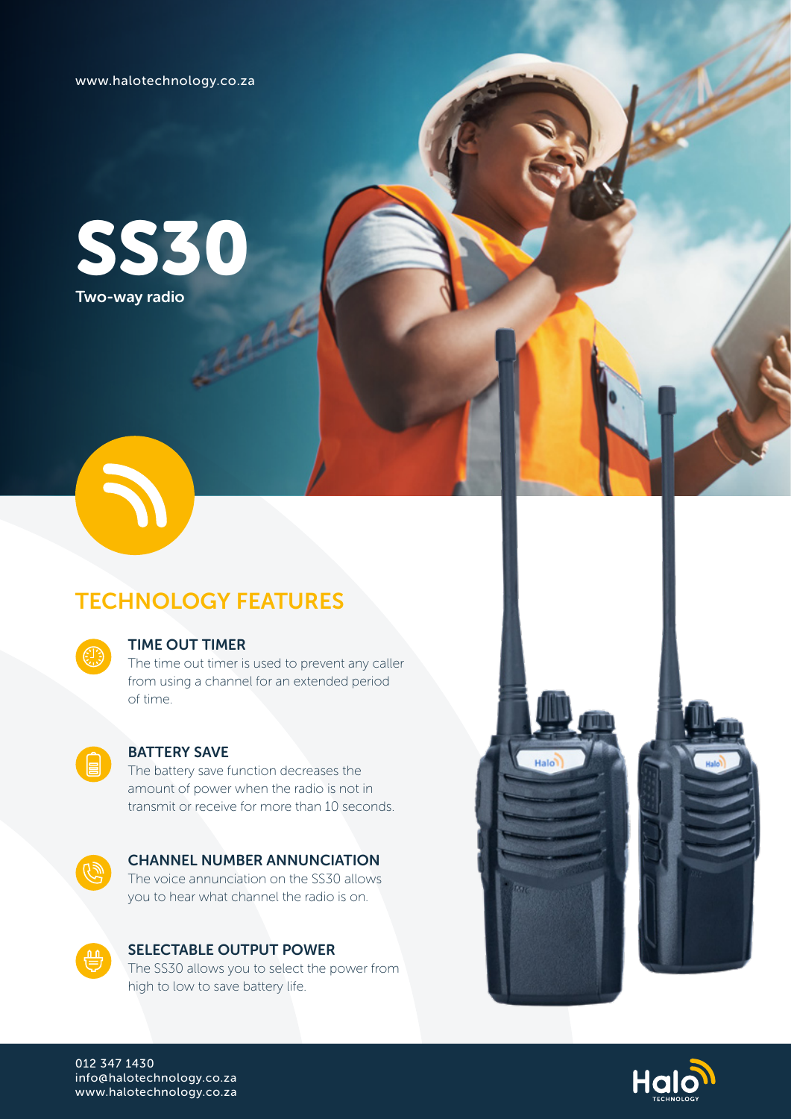www.halotechnology.co.za





# TECHNOLOGY FEATURES

### TIME OUT TIMER

The time out timer is used to prevent any caller from using a channel for an extended period of time.



## BATTERY SAVE

The battery save function decreases the amount of power when the radio is not in transmit or receive for more than 10 seconds.



#### CHANNEL NUMBER ANNUNCIATION The voice annunciation on the SS30 allows

you to hear what channel the radio is on.



SELECTABLE OUTPUT POWER The SS30 allows you to select the power from high to low to save battery life.



Halc

012 347 1430 info@halotechnology.co.za www.halotechnology.co.za